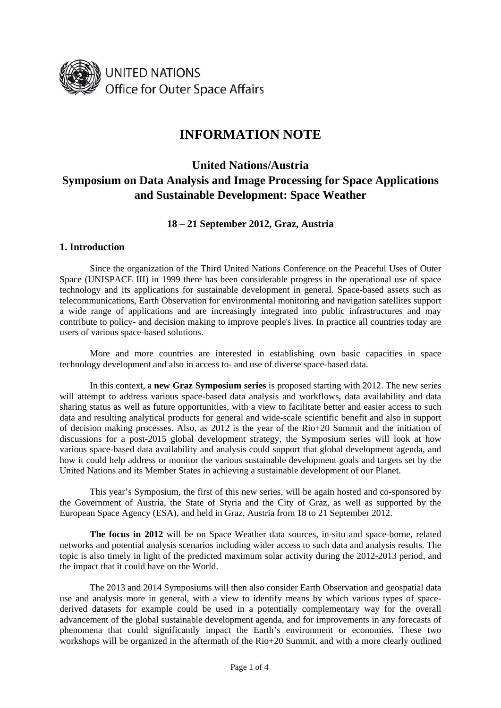

# **INFORMATION NOTE**

## **United Nations/Austria Symposium on Data Analysis and Image Processing for Space Applications and Sustainable Development: Space Weather**

**18 – 21 September 2012, Graz, Austria** 

## **1. Introduction**

 Since the organization of the Third United Nations Conference on the Peaceful Uses of Outer Space (UNISPACE III) in 1999 there has been considerable progress in the operational use of space technology and its applications for sustainable development in general. Space-based assets such as telecommunications, Earth Observation for environmental monitoring and navigation satellites support a wide range of applications and are increasingly integrated into public infrastructures and may contribute to policy- and decision making to improve people's lives. In practice all countries today are users of various space-based solutions.

 More and more countries are interested in establishing own basic capacities in space technology development and also in access to- and use of diverse space-based data.

 In this context, a **new Graz Symposium series** is proposed starting with 2012. The new series will attempt to address various space-based data analysis and workflows, data availability and data sharing status as well as future opportunities, with a view to facilitate better and easier access to such data and resulting analytical products for general and wide-scale scientific benefit and also in support of decision making processes. Also, as 2012 is the year of the Rio+20 Summit and the initiation of discussions for a post-2015 global development strategy, the Symposium series will look at how various space-based data availability and analysis could support that global development agenda, and how it could help address or monitor the various sustainable development goals and targets set by the United Nations and its Member States in achieving a sustainable development of our Planet.

 This year's Symposium, the first of this new series, will be again hosted and co-sponsored by the Government of Austria, the State of Styria and the City of Graz, as well as supported by the European Space Agency (ESA), and held in Graz, Austria from 18 to 21 September 2012.

**The focus in 2012** will be on Space Weather data sources, in-situ and space-borne, related networks and potential analysis scenarios including wider access to such data and analysis results. The topic is also timely in light of the predicted maximum solar activity during the 2012-2013 period, and the impact that it could have on the World.

 The 2013 and 2014 Symposiums will then also consider Earth Observation and geospatial data use and analysis more in general, with a view to identify means by which various types of spacederived datasets for example could be used in a potentially complementary way for the overall advancement of the global sustainable development agenda, and for improvements in any forecasts of phenomena that could significantly impact the Earth's environment or economies. These two workshops will be organized in the aftermath of the Rio+20 Summit, and with a more clearly outlined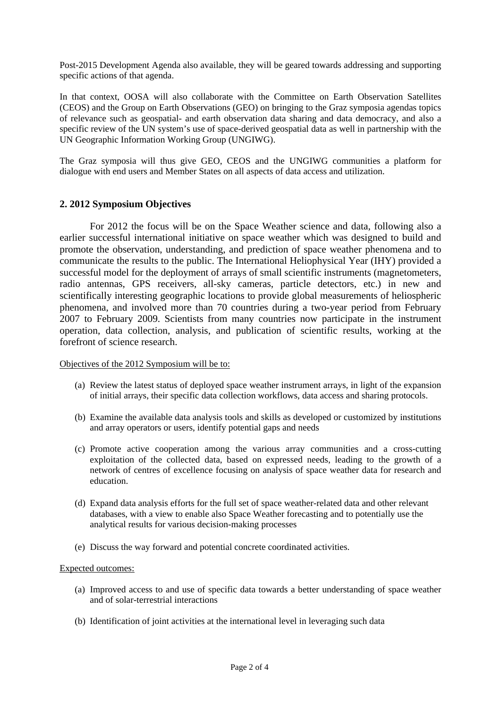Post-2015 Development Agenda also available, they will be geared towards addressing and supporting specific actions of that agenda.

In that context, OOSA will also collaborate with the Committee on Earth Observation Satellites (CEOS) and the Group on Earth Observations (GEO) on bringing to the Graz symposia agendas topics of relevance such as geospatial- and earth observation data sharing and data democracy, and also a specific review of the UN system's use of space-derived geospatial data as well in partnership with the UN Geographic Information Working Group (UNGIWG).

The Graz symposia will thus give GEO, CEOS and the UNGIWG communities a platform for dialogue with end users and Member States on all aspects of data access and utilization.

## **2. 2012 Symposium Objectives**

 For 2012 the focus will be on the Space Weather science and data, following also a earlier successful international initiative on space weather which was designed to build and promote the observation, understanding, and prediction of space weather phenomena and to communicate the results to the public. The International Heliophysical Year (IHY) provided a successful model for the deployment of arrays of small scientific instruments (magnetometers, radio antennas, GPS receivers, all-sky cameras, particle detectors, etc.) in new and scientifically interesting geographic locations to provide global measurements of heliospheric phenomena, and involved more than 70 countries during a two-year period from February 2007 to February 2009. Scientists from many countries now participate in the instrument operation, data collection, analysis, and publication of scientific results, working at the forefront of science research.

Objectives of the 2012 Symposium will be to:

- (a) Review the latest status of deployed space weather instrument arrays, in light of the expansion of initial arrays, their specific data collection workflows, data access and sharing protocols.
- (b) Examine the available data analysis tools and skills as developed or customized by institutions and array operators or users, identify potential gaps and needs
- (c) Promote active cooperation among the various array communities and a cross-cutting exploitation of the collected data, based on expressed needs, leading to the growth of a network of centres of excellence focusing on analysis of space weather data for research and education.
- (d) Expand data analysis efforts for the full set of space weather-related data and other relevant databases, with a view to enable also Space Weather forecasting and to potentially use the analytical results for various decision-making processes
- (e) Discuss the way forward and potential concrete coordinated activities.

#### Expected outcomes:

- (a) Improved access to and use of specific data towards a better understanding of space weather and of solar-terrestrial interactions
- (b) Identification of joint activities at the international level in leveraging such data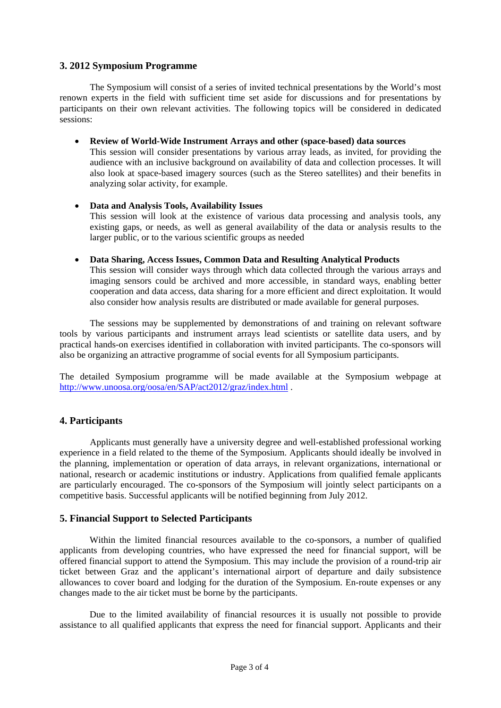## **3. 2012 Symposium Programme**

 The Symposium will consist of a series of invited technical presentations by the World's most renown experts in the field with sufficient time set aside for discussions and for presentations by participants on their own relevant activities. The following topics will be considered in dedicated sessions:

• **Review of World-Wide Instrument Arrays and other (space-based) data sources** 

This session will consider presentations by various array leads, as invited, for providing the audience with an inclusive background on availability of data and collection processes. It will also look at space-based imagery sources (such as the Stereo satellites) and their benefits in analyzing solar activity, for example.

• **Data and Analysis Tools, Availability Issues**  This session will look at the existence of various data processing and analysis tools, any existing gaps, or needs, as well as general availability of the data or analysis results to the larger public, or to the various scientific groups as needed

#### • **Data Sharing, Access Issues, Common Data and Resulting Analytical Products**

This session will consider ways through which data collected through the various arrays and imaging sensors could be archived and more accessible, in standard ways, enabling better cooperation and data access, data sharing for a more efficient and direct exploitation. It would also consider how analysis results are distributed or made available for general purposes.

 The sessions may be supplemented by demonstrations of and training on relevant software tools by various participants and instrument arrays lead scientists or satellite data users, and by practical hands-on exercises identified in collaboration with invited participants. The co-sponsors will also be organizing an attractive programme of social events for all Symposium participants.

The detailed Symposium programme will be made available at the Symposium webpage at <http://www.unoosa.org/oosa/en/SAP/act2012/graz/index.html>.

## **4. Participants**

 Applicants must generally have a university degree and well-established professional working experience in a field related to the theme of the Symposium. Applicants should ideally be involved in the planning, implementation or operation of data arrays, in relevant organizations, international or national, research or academic institutions or industry. Applications from qualified female applicants are particularly encouraged. The co-sponsors of the Symposium will jointly select participants on a competitive basis. Successful applicants will be notified beginning from July 2012.

## **5. Financial Support to Selected Participants**

 Within the limited financial resources available to the co-sponsors, a number of qualified applicants from developing countries, who have expressed the need for financial support, will be offered financial support to attend the Symposium. This may include the provision of a round-trip air ticket between Graz and the applicant's international airport of departure and daily subsistence allowances to cover board and lodging for the duration of the Symposium. En-route expenses or any changes made to the air ticket must be borne by the participants.

 Due to the limited availability of financial resources it is usually not possible to provide assistance to all qualified applicants that express the need for financial support. Applicants and their